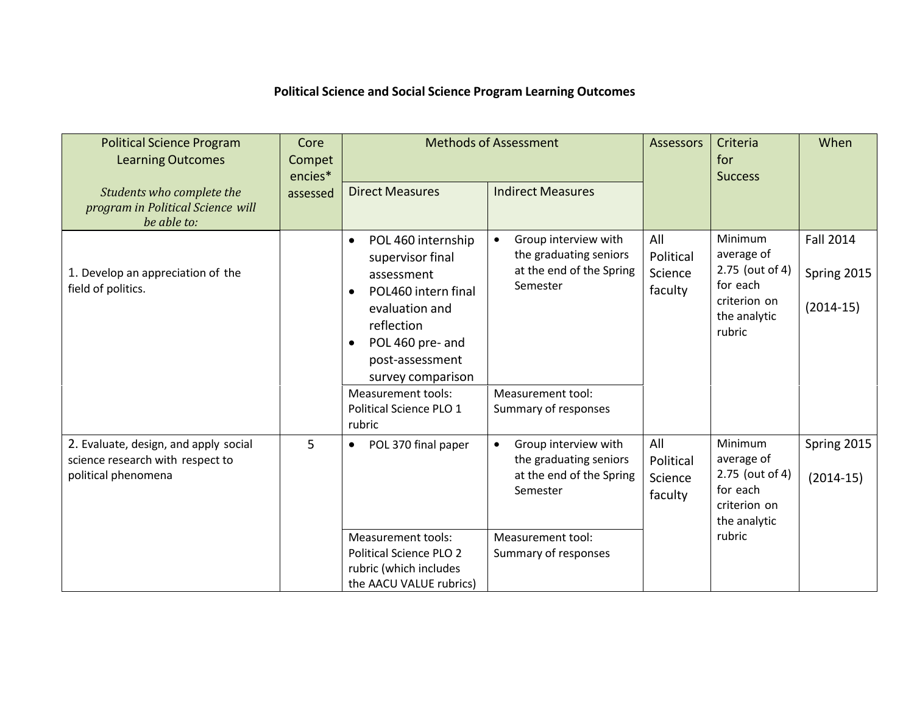## **Political Science and Social Science Program Learning Outcomes**

| <b>Political Science Program</b><br><b>Learning Outcomes</b>                                     | Core<br>Compet<br>encies* | <b>Methods of Assessment</b>                                                                                                                                                                                   |                                                                                        | <b>Assessors</b>                       | Criteria<br>for<br><b>Success</b>                                                              | When                                           |
|--------------------------------------------------------------------------------------------------|---------------------------|----------------------------------------------------------------------------------------------------------------------------------------------------------------------------------------------------------------|----------------------------------------------------------------------------------------|----------------------------------------|------------------------------------------------------------------------------------------------|------------------------------------------------|
| Students who complete the<br>program in Political Science will<br>be able to:                    | assessed                  | <b>Direct Measures</b>                                                                                                                                                                                         | <b>Indirect Measures</b>                                                               |                                        |                                                                                                |                                                |
| 1. Develop an appreciation of the<br>field of politics.                                          |                           | POL 460 internship<br>$\bullet$<br>supervisor final<br>assessment<br>POL460 intern final<br>$\bullet$<br>evaluation and<br>reflection<br>POL 460 pre- and<br>$\bullet$<br>post-assessment<br>survey comparison | Group interview with<br>the graduating seniors<br>at the end of the Spring<br>Semester | All<br>Political<br>Science<br>faculty | Minimum<br>average of<br>2.75 (out of 4)<br>for each<br>criterion on<br>the analytic<br>rubric | <b>Fall 2014</b><br>Spring 2015<br>$(2014-15)$ |
|                                                                                                  |                           | <b>Measurement tools:</b><br>Political Science PLO 1<br>rubric                                                                                                                                                 | Measurement tool:<br>Summary of responses                                              |                                        |                                                                                                |                                                |
| 2. Evaluate, design, and apply social<br>science research with respect to<br>political phenomena | 5                         | POL 370 final paper<br>$\bullet$                                                                                                                                                                               | Group interview with<br>the graduating seniors<br>at the end of the Spring<br>Semester | All<br>Political<br>Science<br>faculty | Minimum<br>average of<br>2.75 (out of 4)<br>for each<br>criterion on<br>the analytic<br>rubric | Spring 2015<br>$(2014-15)$                     |
|                                                                                                  |                           | <b>Measurement tools:</b><br><b>Political Science PLO 2</b><br>rubric (which includes<br>the AACU VALUE rubrics)                                                                                               | Measurement tool:<br>Summary of responses                                              |                                        |                                                                                                |                                                |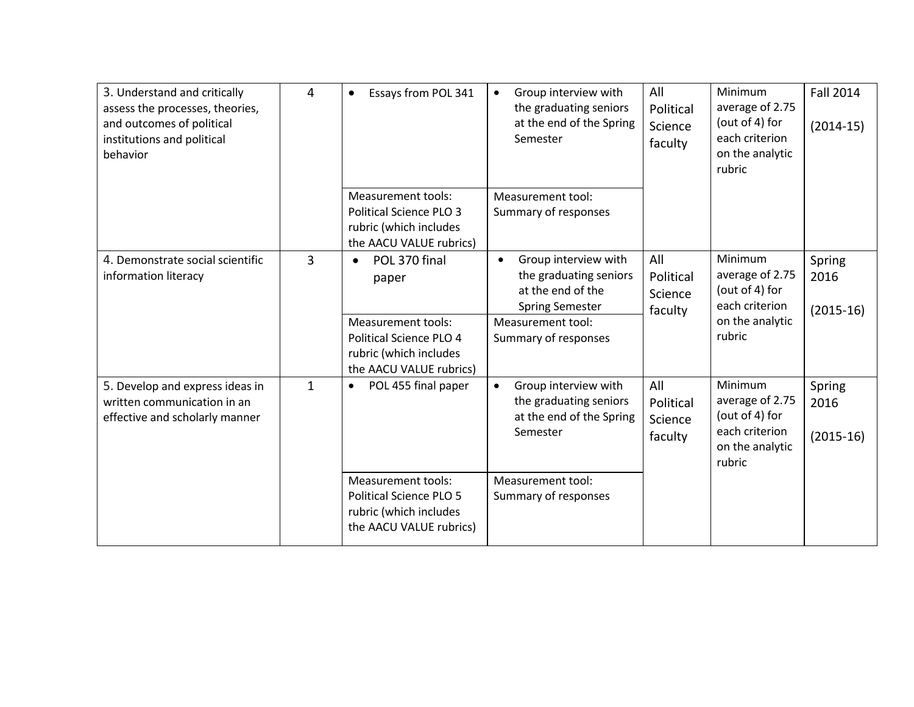| 3. Understand and critically<br>assess the processes, theories,<br>and outcomes of political<br>institutions and political<br>behavior | 4            | Essays from POL 341<br>$\bullet$                                                                                                                 | Group interview with<br>$\bullet$<br>the graduating seniors<br>at the end of the Spring<br>Semester                                                     | All<br>Political<br>Science<br>faculty | <b>Minimum</b><br>average of 2.75<br>(out of 4) for<br>each criterion<br>on the analytic<br>rubric | <b>Fall 2014</b><br>$(2014-15)$ |
|----------------------------------------------------------------------------------------------------------------------------------------|--------------|--------------------------------------------------------------------------------------------------------------------------------------------------|---------------------------------------------------------------------------------------------------------------------------------------------------------|----------------------------------------|----------------------------------------------------------------------------------------------------|---------------------------------|
|                                                                                                                                        |              | <b>Measurement tools:</b><br><b>Political Science PLO 3</b><br>rubric (which includes<br>the AACU VALUE rubrics)                                 | Measurement tool:<br>Summary of responses                                                                                                               |                                        |                                                                                                    |                                 |
| 4. Demonstrate social scientific<br>information literacy                                                                               | 3            | POL 370 final<br>$\bullet$<br>paper<br><b>Measurement tools:</b><br>Political Science PLO 4<br>rubric (which includes<br>the AACU VALUE rubrics) | Group interview with<br>$\bullet$<br>the graduating seniors<br>at the end of the<br><b>Spring Semester</b><br>Measurement tool:<br>Summary of responses | All<br>Political<br>Science<br>faculty | <b>Minimum</b><br>average of 2.75<br>(out of 4) for<br>each criterion<br>on the analytic<br>rubric | Spring<br>2016<br>$(2015-16)$   |
| 5. Develop and express ideas in<br>written communication in an<br>effective and scholarly manner                                       | $\mathbf{1}$ | POL 455 final paper<br>٠                                                                                                                         | Group interview with<br>$\bullet$<br>the graduating seniors<br>at the end of the Spring<br>Semester                                                     | All<br>Political<br>Science<br>faculty | <b>Minimum</b><br>average of 2.75<br>(out of 4) for<br>each criterion<br>on the analytic<br>rubric | Spring<br>2016<br>$(2015-16)$   |
|                                                                                                                                        |              | <b>Measurement tools:</b><br><b>Political Science PLO 5</b><br>rubric (which includes<br>the AACU VALUE rubrics)                                 | Measurement tool:<br>Summary of responses                                                                                                               |                                        |                                                                                                    |                                 |